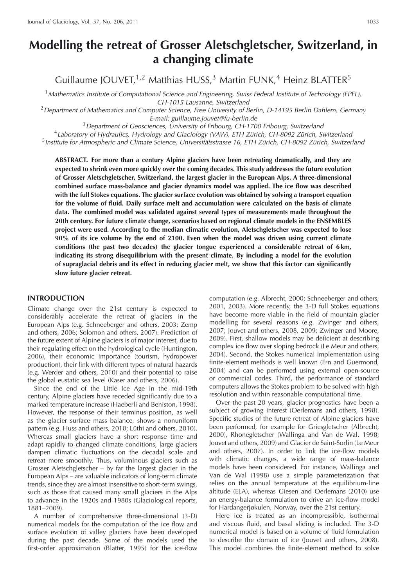# **Modelling the retreat of Grosser Aletschgletscher, Switzerland, in a changing climate**

Guillaume JOUVET,  $1.2$  Matthias HUSS,  $3$  Martin FUNK,  $4$  Heinz BLATTER<sup>5</sup>

<sup>1</sup> Mathematics Institute of Computational Science and Engineering, Swiss Federal Institute of Technology (EPFL), CH-1015 Lausanne, Switzerland

 $2$  Department of Mathematics and Computer Science, Free University of Berlin, D-14195 Berlin Dahlem, Germany E-mail: guillaume.jouvet@fu-berlin.de

 $3$  Department of Geosciences, University of Fribourg, CH-1700 Fribourg, Switzerland

 $4$ Laboratory of Hydraulics, Hydrology and Glaciology (VAW), ETH Zürich, CH-8092 Zürich, Switzerland  $5$  Institute for Atmospheric and Climate Science, Universitätsstrasse 16, ETH Zürich, CH-8092 Zürich, Switzerland

**ABSTRACT. For more than a century Alpine glaciers have been retreating dramatically, and they are expected to shrink even more quickly over the coming decades. This study addresses the future evolution of Grosser Aletschgletscher, Switzerland, the largest glacier in the European Alps. A three-dimensional combined surface mass-balance and glacier dynamics model was applied. The ice flow was described with the full Stokes equations. The glacier surface evolution was obtained by solving a transport equation for the volume of fluid. Daily surface melt and accumulation were calculated on the basis of climate data. The combined model was validated against several types of measurements made throughout the 20th century. For future climate change, scenarios based on regional climate models in the ENSEMBLES project were used. According to the median climatic evolution, Aletschgletscher was expected to lose 90% of its ice volume by the end of 2100. Even when the model was driven using current climate conditions (the past two decades) the glacier tongue experienced a considerable retreat of 6 km, indicating its strong disequilibrium with the present climate. By including a model for the evolution of supraglacial debris and its effect in reducing glacier melt, we show that this factor can significantly slow future glacier retreat.**

### **INTRODUCTION**

Climate change over the 21st century is expected to considerably accelerate the retreat of glaciers in the European Alps (e.g. Schneeberger and others, 2003; Zemp and others, 2006; Solomon and others, 2007). Prediction of the future extent of Alpine glaciers is of major interest, due to their regulating effect on the hydrological cycle (Huntington, 2006), their economic importance (tourism, hydropower production), their link with different types of natural hazards (e.g. Werder and others, 2010) and their potential to raise the global eustatic sea level (Kaser and others, 2006).

Since the end of the Little Ice Age in the mid-19th century, Alpine glaciers have receded significantly due to a marked temperature increase (Haeberli and Beniston, 1998). However, the response of their terminus position, as well as the glacier surface mass balance, shows a nonuniform pattern (e.g. Huss and others, 2010; Lüthi and others, 2010). Whereas small glaciers have a short response time and adapt rapidly to changed climate conditions, large glaciers dampen climatic fluctuations on the decadal scale and retreat more smoothly. Thus, voluminous glaciers such as Grosser Aletschgletscher – by far the largest glacier in the European Alps – are valuable indicators of long-term climate trends, since they are almost insensitive to short-term swings, such as those that caused many small glaciers in the Alps to advance in the 1920s and 1980s (Glaciological reports, 1881–2009).

A number of comprehensive three-dimensional (3-D) numerical models for the computation of the ice flow and surface evolution of valley glaciers have been developed during the past decade. Some of the models used the first-order approximation (Blatter, 1995) for the ice-flow computation (e.g. Albrecht, 2000; Schneeberger and others, 2001, 2003). More recently, the 3-D full Stokes equations have become more viable in the field of mountain glacier modelling for several reasons (e.g. Zwinger and others, 2007; Jouvet and others, 2008, 2009; Zwinger and Moore, 2009). First, shallow models may be deficient at describing complex ice flow over sloping bedrock (Le Meur and others, 2004). Second, the Stokes numerical implementation using finite-element methods is well known (Ern and Guermond, 2004) and can be performed using external open-source or commercial codes. Third, the performance of standard computers allows the Stokes problem to be solved with high resolution and within reasonable computational time.

Over the past 20 years, glacier prognostics have been a subject of growing interest (Oerlemans and others, 1998). Specific studies of the future retreat of Alpine glaciers have been performed, for example for Griesgletscher (Albrecht, 2000), Rhonegletscher (Wallinga and Van de Wal, 1998; Jouvet and others, 2009) and Glacier de Saint-Sorlin (Le Meur and others, 2007). In order to link the ice-flow models with climatic changes, a wide range of mass-balance models have been considered. For instance, Wallinga and Van de Wal (1998) use a simple parameterization that relies on the annual temperature at the equilibrium-line altitude (ELA), whereas Giesen and Oerlemans (2010) use an energy-balance formulation to drive an ice-flow model for Hardangerjøkulen, Norway, over the 21st century.

Here ice is treated as an incompressible, isothermal and viscous fluid, and basal sliding is included. The 3-D numerical model is based on a volume of fluid formulation to describe the domain of ice (Jouvet and others, 2008). This model combines the finite-element method to solve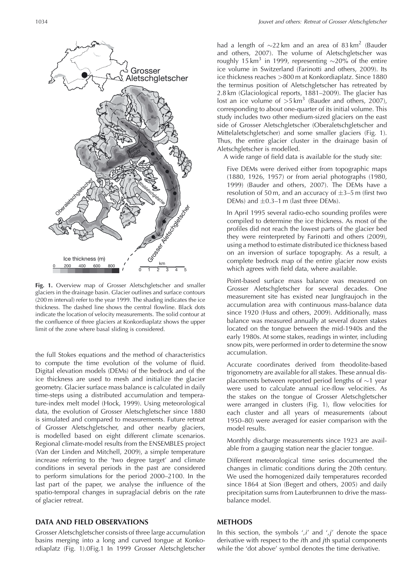

**Fig. 1.** Overview map of Grosser Aletschgletscher and smaller glaciers in the drainage basin. Glacier outlines and surface contours (200 m interval) refer to the year 1999. The shading indicates the ice thickness. The dashed line shows the central flowline. Black dots indicate the location of velocity measurements. The solid contour at the confluence of three glaciers at Konkordiaplatz shows the upper limit of the zone where basal sliding is considered.

the full Stokes equations and the method of characteristics to compute the time evolution of the volume of fluid. Digital elevation models (DEMs) of the bedrock and of the ice thickness are used to mesh and initialize the glacier geometry. Glacier surface mass balance is calculated in daily time-steps using a distributed accumulation and temperature-index melt model (Hock, 1999). Using meteorological data, the evolution of Grosser Aletschgletscher since 1880 is simulated and compared to measurements. Future retreat of Grosser Aletschgletscher, and other nearby glaciers, is modelled based on eight different climate scenarios. Regional climate-model results from the ENSEMBLES project (Van der Linden and Mitchell, 2009), a simple temperature increase referring to the 'two degree target' and climate conditions in several periods in the past are considered to perform simulations for the period 2000–2100. In the last part of the paper, we analyse the influence of the spatio-temporal changes in supraglacial debris on the rate of glacier retreat.

# **DATA AND FIELD OBSERVATIONS**

Grosser Aletschgletscher consists of three large accumulation basins merging into a long and curved tongue at Konkordiaplatz (Fig. 1).0Fig.1 In 1999 Grosser Aletschgletscher

had a length of  $\sim$ 22 km and an area of 83 km<sup>2</sup> (Bauder and others, 2007). The volume of Aletschgletscher was roughly 15 km<sup>3</sup> in 1999, representing  $\sim$ 20% of the entire ice volume in Switzerland (Farinotti and others, 2009). Its ice thickness reaches >800 m at Konkordiaplatz. Since 1880 the terminus position of Aletschgletscher has retreated by 2.8 km (Glaciological reports, 1881–2009). The glacier has lost an ice volume of  $>5 \text{ km}^3$  (Bauder and others, 2007), corresponding to about one-quarter of its initial volume. This study includes two other medium-sized glaciers on the east side of Grosser Aletschgletscher (Oberaletschgletscher and Mittelaletschgletscher) and some smaller glaciers (Fig. 1). Thus, the entire glacier cluster in the drainage basin of Aletschgletscher is modelled.

A wide range of field data is available for the study site:

Five DEMs were derived either from topographic maps (1880, 1926, 1957) or from aerial photographs (1980, 1999) (Bauder and others, 2007). The DEMs have a resolution of 50 m, and an accuracy of  $\pm$ 3–5 m (first two DEMs) and  $\pm$ 0.3–1 m (last three DEMs).

In April 1995 several radio-echo sounding profiles were compiled to determine the ice thickness. As most of the profiles did not reach the lowest parts of the glacier bed they were reinterpreted by Farinotti and others (2009), using a method to estimate distributed ice thickness based on an inversion of surface topography. As a result, a complete bedrock map of the entire glacier now exists which agrees with field data, where available.

Point-based surface mass balance was measured on Grosser Aletschgletscher for several decades. One measurement site has existed near Jungfraujoch in the accumulation area with continuous mass-balance data since 1920 (Huss and others, 2009). Additionally, mass balance was measured annually at several dozen stakes located on the tongue between the mid-1940s and the early 1980s. At some stakes, readings in winter, including snow pits, were performed in order to determine the snow accumulation.

Accurate coordinates derived from theodolite-based trigonometry are available for all stakes. These annual displacements between reported period lengths of ∼1 year were used to calculate annual ice-flow velocities. As the stakes on the tongue of Grosser Aletschgletscher were arranged in clusters (Fig. 1), flow velocities for each cluster and all years of measurements (about 1950–80) were averaged for easier comparison with the model results.

Monthly discharge measurements since 1923 are available from a gauging station near the glacier tongue.

Different meteorological time series documented the changes in climatic conditions during the 20th century. We used the homogenized daily temperatures recorded since 1864 at Sion (Begert and others, 2005) and daily precipitation sums from Lauterbrunnen to drive the massbalance model.

# **METHODS**

In this section, the symbols ',i' and ',j' denote the space derivative with respect to the *i*th and *j*th spatial components while the 'dot above' symbol denotes the time derivative.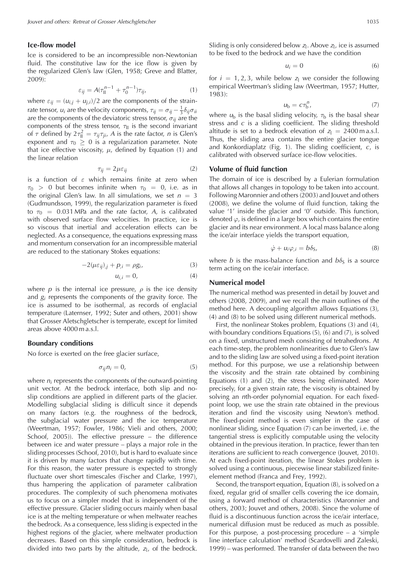### **Ice-flow model**

Ice is considered to be an incompressible non-Newtonian fluid. The constitutive law for the ice flow is given by the regularized Glen's law (Glen, 1958; Greve and Blatter, 2009):

$$
\varepsilon_{ij} = A(\tau_{\rm II}^{n-1} + \tau_0^{n-1})\tau_{ij},\tag{1}
$$

where  $\varepsilon_{ij} = (u_{i,j} + u_{j,i})/2$  are the components of the strainrate tensor,  $u_i$  are the velocity components,  $\tau_{ij} = \sigma_{ij} - \frac{1}{3} \delta_{ij} \sigma_{ii}$ are the components of the deviatoric stress tensor,  $\sigma_{ij}$  are the components of the stress tensor,  $\tau_{\parallel}$  is the second invariant of  $\tau$  defined by  $2\tau_{\rm II}^2=\tau_{ij}\tau_{ji}$ , A is the rate factor, n is Glen's exponent and  $\tau_0 \geq 0$  is a regularization parameter. Note that ice effective viscosity,  $\mu$ , defined by Equation (1) and the linear relation

$$
\tau_{ij} = 2\mu\varepsilon_{ij} \tag{2}
$$

is a function of  $\varepsilon$  which remains finite at zero when  $\tau_0$  > 0 but becomes infinite when  $\tau_0 = 0$ , i.e. as in the original Glen's law. In all simulations, we set  $n = 3$ (Gudmundsson, 1999), the regularization parameter is fixed to  $\tau_0$  = 0.031 MPa and the rate factor, A, is calibrated with observed surface flow velocities. In practice, ice is so viscous that inertial and acceleration effects can be neglected. As a consequence, the equations expressing mass and momentum conservation for an incompressible material are reduced to the stationary Stokes equations:

$$
-2(\mu\varepsilon_{ij})_{,j} + p_{,i} = \rho g_i,\tag{3}
$$

$$
u_{i,i}=0,\t\t(4)
$$

where p is the internal ice pressure,  $\rho$  is the ice density and  $g_i$  represents the components of the gravity force. The ice is assumed to be isothermal, as records of englacial temperature (Laternser, 1992; Suter and others, 2001) show that Grosser Aletschgletscher is temperate, except for limited areas above 4000 m a.s.l.

### **Boundary conditions**

No force is exerted on the free glacier surface,

$$
\sigma_{ij} n_i = 0,\tag{5}
$$

where  $n_i$  represents the components of the outward-pointing unit vector. At the bedrock interface, both slip and noslip conditions are applied in different parts of the glacier. Modelling subglacial sliding is difficult since it depends on many factors (e.g. the roughness of the bedrock, the subglacial water pressure and the ice temperature (Weertman, 1957; Fowler, 1986; Vieli and others, 2000; Schoof, 2005)). The effective pressure – the difference between ice and water pressure – plays a major role in the sliding processes (Schoof, 2010), but is hard to evaluate since it is driven by many factors that change rapidly with time. For this reason, the water pressure is expected to strongly fluctuate over short timescales (Fischer and Clarke, 1997), thus hampering the application of parameter calibration procedures. The complexity of such phenomena motivates us to focus on a simpler model that is independent of the effective pressure. Glacier sliding occurs mainly when basal ice is at the melting temperature or when meltwater reaches the bedrock. As a consequence, less sliding is expected in the highest regions of the glacier, where meltwater production decreases. Based on this simple consideration, bedrock is divided into two parts by the altitude,  $z_1$ , of the bedrock. Sliding is only considered below  $z_1$ . Above  $z_1$ , ice is assumed to be fixed to the bedrock and we have the condition

$$
u_i = 0 \tag{6}
$$

for  $i = 1, 2, 3$ , while below  $z_1$  we consider the following empirical Weertman's sliding law (Weertman, 1957; Hutter, 1983):

$$
u_{\rm b} = c \tau_{\rm b}^n,\tag{7}
$$

where  $u<sub>b</sub>$  is the basal sliding velocity,  $\tau<sub>b</sub>$  is the basal shear stress and  $c$  is a sliding coefficient. The sliding threshold altitude is set to a bedrock elevation of  $z_1 = 2400$  m a.s.l. Thus, the sliding area contains the entire glacier tongue and Konkordiaplatz (Fig. 1). The sliding coefficient,  $c$ , is calibrated with observed surface ice-flow velocities.

# **Volume of fluid function**

The domain of ice is described by a Eulerian formulation that allows all changes in topology to be taken into account. Following Maronnier and others (2003) and Jouvet and others (2008), we define the volume of fluid function, taking the value '1' inside the glacier and '0' outside. This function, denoted  $\varphi$ , is defined in a large box which contains the entire glacier and its near environment. A local mass balance along the ice/air interface yields the transport equation,

$$
\dot{\varphi} + u_i \varphi_{,i} = b \delta_S,\tag{8}
$$

where *b* is the mass-balance function and  $b\delta<sub>S</sub>$  is a source term acting on the ice/air interface.

### **Numerical model**

The numerical method was presented in detail by Jouvet and others (2008, 2009), and we recall the main outlines of the method here. A decoupling algorithm allows Equations (3), (4) and (8) to be solved using different numerical methods.

First, the nonlinear Stokes problem, Equations (3) and (4), with boundary conditions Equations (5), (6) and (7), is solved on a fixed, unstructured mesh consisting of tetrahedrons. At each time-step, the problem nonlinearities due to Glen's law and to the sliding law are solved using a fixed-point iteration method. For this purpose, we use a relationship between the viscosity and the strain rate obtained by combining Equations (1) and (2), the stress being eliminated. More precisely, for a given strain rate, the viscosity is obtained by solving an nth-order polynomial equation. For each fixedpoint loop, we use the strain rate obtained in the previous iteration and find the viscosity using Newton's method. The fixed-point method is even simpler in the case of nonlinear sliding, since Equation (7) can be inverted, i.e. the tangential stress is explicitly computable using the velocity obtained in the previous iteration. In practice, fewer than ten iterations are sufficient to reach convergence (Jouvet, 2010). At each fixed-point iteration, the linear Stokes problem is solved using a continuous, piecewise linear stabilized finiteelement method (Franca and Frey, 1992).

Second, the transport equation, Equation (8), is solved on a fixed, regular grid of smaller cells covering the ice domain, using a forward method of characteristics (Maronnier and others, 2003; Jouvet and others, 2008). Since the volume of fluid is a discontinuous function across the ice/air interface, numerical diffusion must be reduced as much as possible. For this purpose, a post-processing procedure  $-$  a 'simple line interface calculation' method (Scardovelli and Zaleski, 1999) – was performed. The transfer of data between the two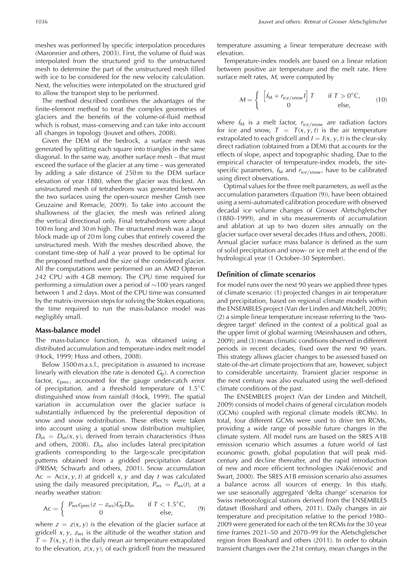meshes was performed by specific interpolation procedures (Maronnier and others, 2003). First, the volume of fluid was interpolated from the structured grid to the unstructured mesh to determine the part of the unstructured mesh filled with ice to be considered for the new velocity calculation. Next, the velocities were interpolated on the structured grid to allow the transport step to be performed.

The method described combines the advantages of the finite-element method to treat the complex geometries of glaciers and the benefits of the volume-of-fluid method which is robust, mass-conserving and can take into account all changes in topology (Jouvet and others, 2008).

Given the DEM of the bedrock, a surface mesh was generated by splitting each square into triangles in the same diagonal. In the same way, another surface mesh – that must exceed the surface of the glacier at any time – was generated by adding a safe distance of 250 m to the DEM surface elevation of year 1880, when the glacier was thickest. An unstructured mesh of tetrahedrons was generated between the two surfaces using the open-source mesher Gmsh (see Geuzaine and Remacle, 2009). To take into account the shallowness of the glacier, the mesh was refined along the vertical directional only. Final tetrahedrons were about 100 m long and 30 m high. The structured mesh was a large block made up of 20 m long cubes that entirely covered the unstructured mesh. With the meshes described above, the constant time-step of half a year proved to be optimal for the proposed method and the size of the considered glacier. All the computations were performed on an AMD Opteron 242 CPU with 4 GB memory. The CPU time required for performing a simulation over a period of ∼100 years ranged between 1 and 2 days. Most of the CPU time was consumed by the matrix-inversion steps for solving the Stokes equations; the time required to run the mass-balance model was negligibly small.

#### **Mass-balance model**

The mass-balance function,  $b$ , was obtained using a distributed accumulation and temperature-index melt model (Hock, 1999; Huss and others, 2008).

Below 3500 m a.s.l., precipitation is assumed to increase linearly with elevation (the rate is denoted  $G<sub>D</sub>$ ). A correction factor,  $c_{\text{prec}}$ , accounted for the gauge under-catch error of precipitation, and a threshold temperature of 1.5◦C distinguished snow from rainfall (Hock, 1999). The spatial variation in accumulation over the glacier surface is substantially influenced by the preferential deposition of snow and snow redistribution. These effects were taken into account using a spatial snow distribution multiplier,  $D_{\rm sn} = D_{\rm sn}(x, y)$ , derived from terrain characteristics (Huss and others, 2008).  $D_{sn}$  also includes lateral precipitation gradients corresponding to the large-scale precipitation patterns obtained from a gridded precipitation dataset (PRISM; Schwarb and others, 2001). Snow accumulation  $Ac = Ac(x, y, t)$  at gridcell x, y and day t was calculated using the daily measured precipitation,  $P_{\text{ws}} = P_{\text{ws}}(t)$ , at a nearby weather station:

$$
Ac = \left\{ \begin{array}{cc} P_{\text{ws}}c_{\text{prec}}(z - z_{\text{ws}})G_{\text{p}}D_{\text{sn}} & \text{if } T < 1.5^{\circ}C, \\ 0 & \text{else,} \end{array} \right. \tag{9}
$$

where  $z = z(x, y)$  is the elevation of the glacier surface at gridcell  $x, y, z_{ws}$  is the altitude of the weather station and  $T = T(x, y, t)$  is the daily mean air temperature extrapolated to the elevation,  $z(x, y)$ , of each gridcell from the measured

temperature assuming a linear temperature decrease with elevation.

Temperature-index models are based on a linear relation between positive air temperature and the melt rate. Here surface melt rates, M, were computed by

$$
M = \begin{cases} \begin{bmatrix} f_M + r_{\text{ice/snow}} I \end{bmatrix} T & \text{if } T > 0^\circ \text{C}, \\ 0 & \text{else,} \end{cases} \tag{10}
$$

where  $f_M$  is a melt factor,  $r_{ice/snow}$  are radiation factors for ice and snow,  $T = T(x, y, t)$  is the air temperature extrapolated to each gridcell and  $I = I(x, y, t)$  is the clear-sky direct radiation (obtained from a DEM) that accounts for the effects of slope, aspect and topographic shading. Due to the empirical character of temperature-index models, the sitespecific parameters,  $f_M$  and  $r_{ice/snow}$ , have to be calibrated using direct observations.

Optimal values for the three melt parameters, as well as the accumulation parameters (Equation (9)), have been obtained using a semi-automated calibration procedure with observed decadal ice volume changes of Grosser Aletschgletscher (1880–1999), and in situ measurements of accumulation and ablation at up to two dozen sites annually on the glacier surface over several decades (Huss and others, 2008). Annual glacier surface mass balance is defined as the sum of solid precipitation and snow- or ice melt at the end of the hydrological year (1 October–30 September).

### **Definition of climate scenarios**

For model runs over the next 90 years we applied three types of climate scenario: (1) projected changes in air temperature and precipitation, based on regional climate models within the ENSEMBLES project (Van der Linden and Mitchell, 2009); (2) a simple linear temperature increase referring to the 'twodegree target' defined in the context of a political goal as the upper limit of global warming (Meinshausen and others, 2009); and (3) mean climatic conditions observed in different periods in recent decades, fixed over the next 90 years. This strategy allows glacier changes to be assessed based on state-of-the-art climate projections that are, however, subject to considerable uncertainty. Transient glacier response in the next century was also evaluated using the well-defined climate conditions of the past.

The ENSEMBLES project (Van der Linden and Mitchell, 2009) consists of model chains of general circulation models (GCMs) coupled with regional climate models (RCMs). In total, four different GCMs were used to drive ten RCMs, providing a wide range of possible future changes in the climate system. All model runs are based on the SRES A1B emission scenario which assumes a future world of fast economic growth, global population that will peak midcentury and decline thereafter, and the rapid introduction of new and more efficient technologies (Nakićenović and Swart, 2000). The SRES A1B emission scenario also assumes a balance across all sources of energy. In this study, we use seasonally aggregated 'delta change' scenarios for Swiss meteorological stations derived from the ENSEMBLES dataset (Bosshard and others, 2011). Daily changes in air temperature and precipitation relative to the period 1980– 2009 were generated for each of the ten RCMs for the 30 year time frames 2021–50 and 2070–99 for the Aletschgletscher region from Bosshard and others (2011). In order to obtain transient changes over the 21st century, mean changes in the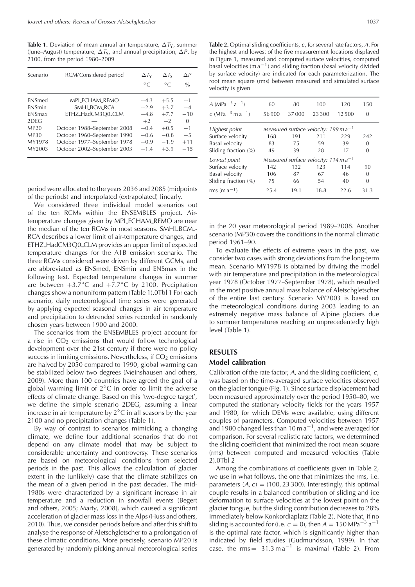**Table 1.** Deviation of mean annual air temperature,  $\Delta T_v$ , summer (June–August) temperature,  $\Delta T_S$ , and annual precipitation,  $\Delta P$ , by 2100, from the period 1980–2009

| Scenario      | RCM/Considered period       | $\Delta T_Y$ | $\Delta T_S$ | $\triangle P$ |
|---------------|-----------------------------|--------------|--------------|---------------|
|               |                             | $\circ$ C    | $\circ$ C    | $\frac{0}{0}$ |
| <b>FNSmed</b> | MPI_ECHAM_REMO              | $+4.3$       | $+5.5$       | $+1$          |
| <b>FNSmin</b> | SMHLBCM_RCA                 | $+2.9$       | $+3.7$       | $-4$          |
| <b>FNSmax</b> | ETHZ_HadCM3Q0_CLM           | $+4.8$       | $+7.7$       | $-10$         |
| 2DEG          |                             | $+2$         | $+2$         | $\Omega$      |
| MP20          | October 1988–September 2008 | $+0.4$       | $+0.5$       | $-1$          |
| <b>MP30</b>   | October 1960-September 1990 | $-0.6$       | $-0.8$       | $-5$          |
| MY1978        | October 1977–September 1978 | $-0.9$       | $-1.9$       | $+11$         |
| MY2003        | October 2002-September 2003 | $+1.4$       | $+3.9$       | $-15$         |

**Table 2.** Optimal sliding coefficients, c, for several rate factors, A. For the highest and lowest of the five measurement locations displayed in Figure 1, measured and computed surface velocities, computed basal velocities (m  $a^{-1}$ ) and sliding fraction (basal velocity divided by surface velocity) are indicated for each parameterization. The root mean square (rms) between measured and simulated surface velocity is given

| A (MPa <sup><math>-3</math></sup> a <sup><math>-1</math></sup> )<br>c (MPa <sup><math>-3</math></sup> m a <sup><math>-1</math></sup> ) | 60<br>56900                                       | 80<br>37000 | 100<br>23.300 | 120<br>12.500 | 150<br>0 |
|----------------------------------------------------------------------------------------------------------------------------------------|---------------------------------------------------|-------------|---------------|---------------|----------|
| Highest point                                                                                                                          | Measured surface velocity: 199 m $a^{-1}$         |             |               |               |          |
| Surface velocity                                                                                                                       | 168                                               | 191         | 211           | 229           | 242      |
| <b>Basal</b> velocity                                                                                                                  | 83                                                | 75          | 59            | 39            | 0        |
| Sliding fraction (%)                                                                                                                   | 49                                                | 39          | 28            | 17            | 0        |
| Lowest point                                                                                                                           | Measured surface velocity: $114 \text{ m a}^{-1}$ |             |               |               |          |
| Surface velocity                                                                                                                       | 142                                               | 132         | 123           | 114           | 90       |
| <b>Basal</b> velocity                                                                                                                  | 106                                               | 87          | 67            | 46            | 0        |
| Sliding fraction (%)                                                                                                                   | 75                                                | 66          | 54            | 40            | 0        |
| rms $(m a^{-1})$                                                                                                                       | 25.4                                              | 19.1        | 18.8          | 22.6          | 31.3     |

period were allocated to the years 2036 and 2085 (midpoints of the periods) and interpolated (extrapolated) linearly.

We considered three individual model scenarios out of the ten RCMs within the ENSEMBLES project. Airtemperature changes given by MPI ECHAM REMO are near the median of the ten RCMs in most seasons. SMHI\_BCM\_-RCA describes a lower limit of air-temperature changes, and ETHZ HadCM3Q0 CLM provides an upper limit of expected temperature changes for the A1B emission scenario. The three RCMs considered were driven by different GCMs, and are abbreviated as ENSmed, ENSmin and ENSmax in the following text. Expected temperature changes in summer are between  $+3.7^{\circ}$ C and  $+7.7^{\circ}$ C by 2100. Precipitation changes show a nonuniform pattern (Table 1).0Tbl 1 For each scenario, daily meteorological time series were generated by applying expected seasonal changes in air temperature and precipitation to detrended series recorded in randomly chosen years between 1900 and 2000.

The scenarios from the ENSEMBLES project account for a rise in  $CO<sub>2</sub>$  emissions that would follow technological development over the 21st century if there were no policy success in limiting emissions. Nevertheless, if  $CO<sub>2</sub>$  emissions are halved by 2050 compared to 1990, global warming can be stabilized below two degrees (Meinshausen and others, 2009). More than 100 countries have agreed the goal of a global warming limit of 2◦C in order to limit the adverse effects of climate change. Based on this 'two-degree target', we define the simple scenario 2DEG, assuming a linear increase in air temperature by  $2^{\circ}$ C in all seasons by the year 2100 and no precipitation changes (Table 1).

By way of contrast to scenarios mimicking a changing climate, we define four additional scenarios that do not depend on any climate model that may be subject to considerable uncertainty and controversy. These scenarios are based on meteorological conditions from selected periods in the past. This allows the calculation of glacier extent in the (unlikely) case that the climate stabilizes on the mean of a given period in the past decades. The mid-1980s were characterized by a significant increase in air temperature and a reduction in snowfall events (Begert and others, 2005; Marty, 2008), which caused a significant acceleration of glacier mass loss in the Alps (Huss and others, 2010). Thus, we consider periods before and after this shift to analyse the response of Aletschgletscher to a prolongation of these climatic conditions. More precisely, scenario MP20 is generated by randomly picking annual meteorological series in the 20 year meteorological period 1989–2008. Another scenario (MP30) covers the conditions in the normal climatic period 1961–90.

To evaluate the effects of extreme years in the past, we consider two cases with strong deviations from the long-term mean. Scenario MY1978 is obtained by driving the model with air temperature and precipitation in the meteorological year 1978 (October 1977–September 1978), which resulted in the most positive annual mass balance of Aletschgletscher of the entire last century. Scenario MY2003 is based on the meteorological conditions during 2003 leading to an extremely negative mass balance of Alpine glaciers due to summer temperatures reaching an unprecedentedly high level (Table 1).

# **RESULTS**

# **Model calibration**

Calibration of the rate factor, A, and the sliding coefficient, c, was based on the time-averaged surface velocities observed on the glacier tongue (Fig. 1). Since surface displacement had been measured approximately over the period 1950–80, we computed the stationary velocity fields for the years 1957 and 1980, for which DEMs were available, using different couples of parameters. Computed velocities between 1957 and 1980 changed less than 10 m  $a^{-1}$ , and were averaged for comparison. For several realistic rate factors, we determined the sliding coefficient that minimized the root mean square (rms) between computed and measured velocities (Table 2).0Tbl 2

Among the combinations of coefficients given in Table 2, we use in what follows, the one that minimizes the rms, i.e. parameters  $(A, c) = (100, 23, 300)$ . Interestingly, this optimal couple results in a balanced contribution of sliding and ice deformation to surface velocities at the lowest point on the glacier tongue, but the sliding contribution decreases to 28% immediately below Konkordiaplatz (Table 2). Note that, if no sliding is accounted for (i.e.  $c = 0$ ), then  $A = 150$  MPa<sup>-3</sup> a<sup>-1</sup> is the optimal rate factor, which is significantly higher than indicated by field studies (Gudmundsson, 1999). In that case, the  $\text{rms} = 31.3 \text{ m a}^{-1}$  is maximal (Table 2). From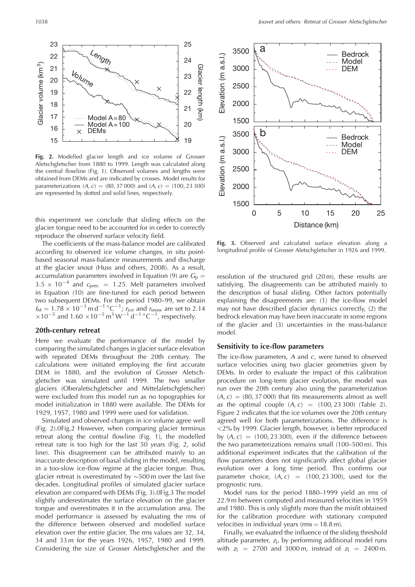

**Fig. 2.** Modelled glacier length and ice volume of Grosser Aletschgletscher from 1880 to 1999. Length was calculated along the central flowline (Fig. 1). Observed volumes and lengths were obtained from DEMs and are indicated by crosses. Model results for parameterizations  $(A, c) = (80, 37, 000)$  and  $(A, c) = (100, 23, 300)$ are represented by dotted and solid lines, respectively.

this experiment we conclude that sliding effects on the glacier tongue need to be accounted for in order to correctly reproduce the observed surface velocity field.

The coefficients of the mass-balance model are calibrated according to observed ice volume changes, in situ pointbased seasonal mass-balance measurements and discharge at the glacier snout (Huss and others, 2008). As a result, accumulation parameters involved in Equation (9) are  $G_p =$  $3.5 \times 10^{-4}$  and  $c_{\text{prec}}$  = 1.25. Melt parameters involved in Equation (10) are fine-tuned for each period between two subsequent DEMs. For the period 1980–99, we obtain  $f_{\rm M} = 1.78 \times 10^{-3}$  m d<sup>-1</sup> °C<sup>-1</sup>;  $r_{\rm ice}$  and  $r_{\rm snow}$  are set to 2.14  $\times$ 10<sup>-5</sup> and 1.60  $\times$ 10<sup>-5</sup> m<sup>3</sup> W<sup>-1</sup> d<sup>-1</sup> °C<sup>-1</sup>, respectively.

### **20th-century retreat**

Here we evaluate the performance of the model by comparing the simulated changes in glacier surface elevation with repeated DEMs throughout the 20th century. The calculations were initiated employing the first accurate DEM in 1880, and the evolution of Grosser Aletschgletscher was simulated until 1999. The two smaller glaciers (Oberaletschgletscher and Mittelaletschgletscher) were excluded from this model run as no topographies for model initialization in 1880 were available. The DEMs for 1929, 1957, 1980 and 1999 were used for validation.

Simulated and observed changes in ice volume agree well (Fig. 2).0Fig.2 However, when comparing glacier terminus retreat along the central flowline (Fig. 1), the modelled retreat rate is too high for the last 50 years (Fig. 2, solid line). This disagreement can be attributed mainly to an inaccurate description of basal sliding in the model, resulting in a too-slow ice-flow regime at the glacier tongue. Thus, glacier retreat is overestimated by ∼500 m over the last five decades. Longitudinal profiles of simulated glacier surface elevation are compared with DEMs (Fig. 3).0Fig.3 The model slightly underestimates the surface elevation on the glacier tongue and overestimates it in the accumulation area. The model performance is assessed by evaluating the rms of the difference between observed and modelled surface elevation over the entire glacier. The rms values are 32, 34, 34 and 33 m for the years 1926, 1957, 1980 and 1999. Considering the size of Grosser Aletschgletscher and the



**Fig. 3.** Observed and calculated surface elevation along a longitudinal profile of Grosser Aletschgletscher in 1926 and 1999.

resolution of the structured grid (20 m), these results are satisfying. The disagreements can be attributed mainly to the description of basal sliding. Other factors potentially explaining the disagreements are: (1) the ice-flow model may not have described glacier dynamics correctly, (2) the bedrock elevation may have been inaccurate in some regions of the glacier and (3) uncertainties in the mass-balance model.

# **Sensitivity to ice-flow parameters**

The ice-flow parameters,  $A$  and  $c$ , were tuned to observed surface velocities using two glacier geometries given by DEMs. In order to evaluate the impact of this calibration procedure on long-term glacier evolution, the model was run over the 20th century also using the parameterization  $(A, c) = (80, 37, 000)$  that fits measurements almost as well as the optimal couple  $(A, c) = (100, 23, 300)$  (Table 2). Figure 2 indicates that the ice volumes over the 20th century agreed well for both parameterizations. The difference is <2% by 1999. Glacier length, however, is better reproduced by  $(A, c) = (100, 23, 300)$ , even if the difference between the two parameterizations remains small (100–500 m). This additional experiment indicates that the calibration of the flow parameters does not significantly affect global glacier evolution over a long time period. This confirms our parameter choice,  $(A, c) = (100, 23, 300)$ , used for the prognostic runs.

Model runs for the period 1880–1999 yield an rms of 22.9 m between computed and measured velocities in 1959 and 1980. This is only slightly more than the misfit obtained for the calibration procedure with stationary computed velocities in individual years ( $\text{rms} = 18.8 \text{ m}$ ).

Finally, we evaluated the influence of the sliding threshold altitude parameter,  $z_1$ , by performing additional model runs with  $z_1 = 2700$  and 3000 m, instead of  $z_1 = 2400$  m.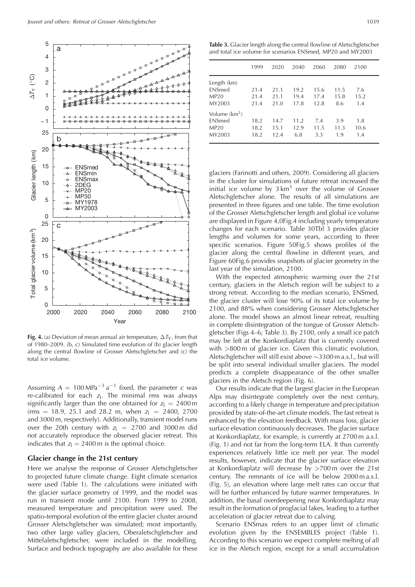

**Fig. 4.** (a) Deviation of mean annual air temperature,  $\Delta T_Y$ , from that of 1980–2009. (b, c) Simulated time evolution of (b) glacier length along the central flowline of Grosser Aletschgletscher and (c) the total ice volume.

Assuming  $A = 100 MPa^{-3} a^{-1}$  fixed, the parameter c was re-calibrated for each  $z_1$ . The minimal rms was always significantly larger than the one obtained for  $z_1 = 2400$  m (rms = 18.9, 25.1 and 28.2 m, when  $z_1$  = 2400, 2700 and 3000 m, respectively). Additionally, transient model runs over the 20th century with  $z_1 = 2700$  and 3000 m did not accurately reproduce the observed glacier retreat. This indicates that  $z_1 = 2400$  m is the optimal choice.

### **Glacier change in the 21st century**

Here we analyse the response of Grosser Aletschgletscher to projected future climate change. Eight climate scenarios were used (Table 1). The calculations were initiated with the glacier surface geometry of 1999, and the model was run in transient mode until 2100. From 1999 to 2008, measured temperature and precipitation were used. The spatio-temporal evolution of the entire glacier cluster around Grosser Aletschgletscher was simulated; most importantly, two other large valley glaciers, Oberaletschgletscher and Mittelaletschgletscher, were included in the modelling. Surface and bedrock topography are also available for these

**Table 3.** Glacier length along the central flowline of Aletschgletscher and total ice volume for scenarios ENSmed, MP20 and MY2003

|                           | 1999 | 2020 | 2040 | 2060 | 2080 | 2100 |  |
|---------------------------|------|------|------|------|------|------|--|
| Length (km)               |      |      |      |      |      |      |  |
| ENSmed                    | 21.4 | 21.1 | 19.2 | 15.6 | 11.5 | 7.6  |  |
| MP20                      | 21.4 | 21.1 | 19.4 | 17.4 | 15.8 | 15.2 |  |
| MY2003                    | 21.4 | 21.0 | 17.8 | 12.8 | 8.6  | 1.4  |  |
| Volume (km <sup>3</sup> ) |      |      |      |      |      |      |  |
| ENSmed                    | 18.2 | 14.7 | 11.2 | 7.4  | 3.9  | 1.8  |  |
| MP20                      | 18.2 | 15.1 | 12.9 | 11.5 | 11.3 | 10.6 |  |
| MY2003                    | 18.2 | 12.4 | 6.8  | 3.3  | 1.9  | 1.4  |  |
|                           |      |      |      |      |      |      |  |

glaciers (Farinotti and others, 2009). Considering all glaciers in the cluster for simulations of future retreat increased the initial ice volume by  $3 \text{ km}^3$  over the volume of Grosser Aletschgletscher alone. The results of all simulations are presented in three figures and one table. The time evolution of the Grosser Aletschgletscher length and global ice volume are displayed in Figure 4,0Fig.4 including yearly temperature changes for each scenario. Table 30Tbl 3 provides glacier lengths and volumes for some years, according to three specific scenarios. Figure 50Fig.5 shows profiles of the glacier along the central flowline in different years, and Figure 60Fig.6 provides snapshots of glacier geometry in the last year of the simulation, 2100.

With the expected atmospheric warming over the 21st century, glaciers in the Aletsch region will be subject to a strong retreat. According to the median scenario, ENSmed, the glacier cluster will lose 90% of its total ice volume by 2100, and 88% when considering Grosser Aletschgletscher alone. The model shows an almost linear retreat, resulting in complete disintegration of the tongue of Grosser Aletschgletscher (Figs 4–6; Table 3). By 2100, only a small ice patch may be left at the Konkordiaplatz that is currently covered with >800 m of glacier ice. Given this climatic evolution, Aletschgletscher will still exist above ∼3300 m a.s.l., but will be split into several individual smaller glaciers. The model predicts a complete disappearance of the other smaller glaciers in the Aletsch region (Fig. 6).

Our results indicate that the largest glacier in the European Alps may disintegrate completely over the next century, according to a likely change in temperature and precipitation provided by state-of-the-art climate models. The fast retreat is enhanced by the elevation feedback. With mass loss, glacier surface elevation continuously decreases. The glacier surface at Konkordiaplatz, for example, is currently at 2700 m a.s.l. (Fig. 1) and not far from the long-term ELA. It thus currently experiences relatively little ice melt per year. The model results, however, indicate that the glacier surface elevation at Konkordiaplatz will decrease by >700 m over the 21st century. The remnants of ice will be below 2000 m a.s.l. (Fig. 5), an elevation where large melt rates can occur that will be further enhanced by future warmer temperatures. In addition, the basal overdeepening near Konkordiaplatz may result in the formation of proglacial lakes, leading to a further acceleration of glacier retreat due to calving.

Scenario ENSmax refers to an upper limit of climatic evolution given by the ENSEMBLES project (Table 1). According to this scenario we expect complete melting of all ice in the Aletsch region, except for a small accumulation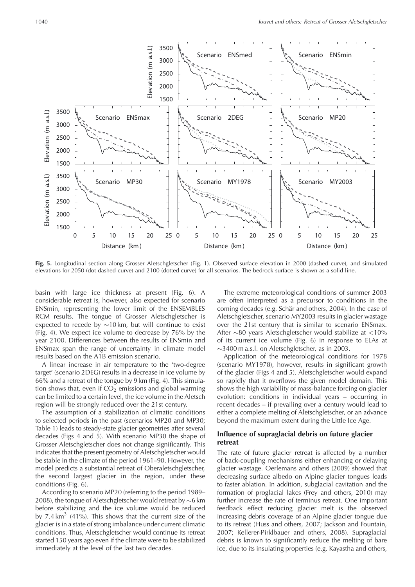

**Fig. 5.** Longitudinal section along Grosser Aletschgletscher (Fig. 1). Observed surface elevation in 2000 (dashed curve), and simulated elevations for 2050 (dot-dashed curve) and 2100 (dotted curve) for all scenarios. The bedrock surface is shown as a solid line.

basin with large ice thickness at present (Fig. 6). A considerable retreat is, however, also expected for scenario ENSmin, representing the lower limit of the ENSEMBLES RCM results. The tongue of Grosser Aletschgletscher is expected to recede by ∼10 km, but will continue to exist (Fig. 4). We expect ice volume to decrease by 76% by the year 2100. Differences between the results of ENSmin and ENSmax span the range of uncertainty in climate model results based on the A1B emission scenario.

A linear increase in air temperature to the 'two-degree target' (scenario 2DEG) results in a decrease in ice volume by 66% and a retreat of the tongue by 9 km (Fig. 4). This simulation shows that, even if  $CO<sub>2</sub>$  emissions and global warming can be limited to a certain level, the ice volume in the Aletsch region will be strongly reduced over the 21st century.

The assumption of a stabilization of climatic conditions to selected periods in the past (scenarios MP20 and MP30; Table 1) leads to steady-state glacier geometries after several decades (Figs 4 and 5). With scenario MP30 the shape of Grosser Aletschgletscher does not change significantly. This indicates that the present geometry of Aletschgletscher would be stable in the climate of the period 1961–90. However, the model predicts a substantial retreat of Oberaletschgletscher, the second largest glacier in the region, under these conditions (Fig. 6).

According to scenario MP20 (referring to the period 1989– 2008), the tongue of Aletschgletscher would retreat by ∼6 km before stabilizing and the ice volume would be reduced by 7.4 km<sup>3</sup> (41%). This shows that the current size of the glacier is in a state of strong imbalance under current climatic conditions. Thus, Aletschgletscher would continue its retreat started 150 years ago even if the climate were to be stabilized immediately at the level of the last two decades.

The extreme meteorological conditions of summer 2003 are often interpreted as a precursor to conditions in the coming decades (e.g. Schär and others, 2004). In the case of Aletschgletscher, scenario MY2003 results in glacier wastage over the 21st century that is similar to scenario ENSmax. After ∼80 years Aletschgletscher would stabilize at <10% of its current ice volume (Fig. 6) in response to ELAs at ∼3400 m a.s.l. on Aletschgletscher, as in 2003.

Application of the meteorological conditions for 1978 (scenario MY1978), however, results in significant growth of the glacier (Figs 4 and 5). Aletschgletscher would expand so rapidly that it overflows the given model domain. This shows the high variability of mass-balance forcing on glacier evolution: conditions in individual years – occurring in recent decades – if prevailing over a century would lead to either a complete melting of Aletschgletscher, or an advance beyond the maximum extent during the Little Ice Age.

# **Influence of supraglacial debris on future glacier retreat**

The rate of future glacier retreat is affected by a number of back-coupling mechanisms either enhancing or delaying glacier wastage. Oerlemans and others (2009) showed that decreasing surface albedo on Alpine glacier tongues leads to faster ablation. In addition, subglacial cavitation and the formation of proglacial lakes (Frey and others, 2010) may further increase the rate of terminus retreat. One important feedback effect reducing glacier melt is the observed increasing debris coverage of an Alpine glacier tongue due to its retreat (Huss and others, 2007; Jackson and Fountain, 2007; Kellerer-Pirklbauer and others, 2008). Supraglacial debris is known to significantly reduce the melting of bare ice, due to its insulating properties (e.g. Kayastha and others,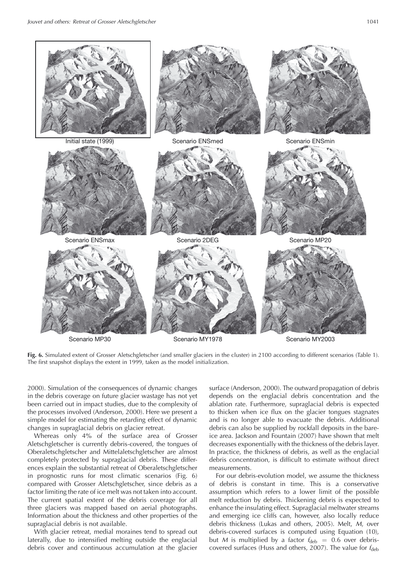

**Fig. 6.** Simulated extent of Grosser Aletschgletscher (and smaller glaciers in the cluster) in 2100 according to different scenarios (Table 1). The first snapshot displays the extent in 1999, taken as the model initialization.

2000). Simulation of the consequences of dynamic changes in the debris coverage on future glacier wastage has not yet been carried out in impact studies, due to the complexity of the processes involved (Anderson, 2000). Here we present a simple model for estimating the retarding effect of dynamic changes in supraglacial debris on glacier retreat.

Whereas only 4% of the surface area of Grosser Aletschgletscher is currently debris-covered, the tongues of Oberaletschgletscher and Mittelaletschgletscher are almost completely protected by supraglacial debris. These differences explain the substantial retreat of Oberaletschgletscher in prognostic runs for most climatic scenarios (Fig. 6) compared with Grosser Aletschgletscher, since debris as a factor limiting the rate of ice melt was not taken into account. The current spatial extent of the debris coverage for all three glaciers was mapped based on aerial photographs. Information about the thickness and other properties of the supraglacial debris is not available.

With glacier retreat, medial moraines tend to spread out laterally, due to intensified melting outside the englacial debris cover and continuous accumulation at the glacier surface (Anderson, 2000). The outward propagation of debris depends on the englacial debris concentration and the ablation rate. Furthermore, supraglacial debris is expected to thicken when ice flux on the glacier tongues stagnates and is no longer able to evacuate the debris. Additional debris can also be supplied by rockfall deposits in the bareice area. Jackson and Fountain (2007) have shown that melt decreases exponentially with the thickness of the debris layer. In practice, the thickness of debris, as well as the englacial debris concentration, is difficult to estimate without direct measurements.

For our debris-evolution model, we assume the thickness of debris is constant in time. This is a conservative assumption which refers to a lower limit of the possible melt reduction by debris. Thickening debris is expected to enhance the insulating effect. Supraglacial meltwater streams and emerging ice cliffs can, however, also locally reduce debris thickness (Lukas and others, 2005). Melt, M, over debris-covered surfaces is computed using Equation (10), but M is multiplied by a factor  $f_{\text{deb}} = 0.6$  over debriscovered surfaces (Huss and others, 2007). The value for  $f_{\text{deb}}$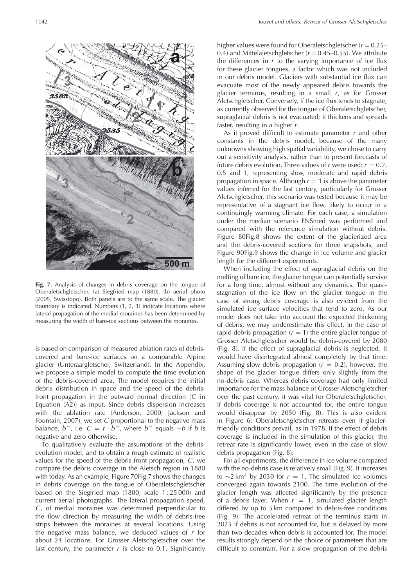

**Fig. 7.** Analysis of changes in debris coverage on the tongue of Oberaletschgletscher. (a) Siegfried map (1880), (b) aerial photo (2005, Swisstopo). Both panels are to the same scale. The glacier boundary is indicated. Numbers (1, 2, 3) indicate locations where lateral propagation of the medial moraines has been determined by measuring the width of bare-ice sections between the moraines.

is based on comparison of measured ablation rates of debriscovered and bare-ice surfaces on a comparable Alpine glacier (Unteraargletscher, Switzerland). In the Appendix, we propose a simple model to compute the time evolution of the debris-covered area. The model requires the initial debris distribution in space and the speed of the debrisfront propagation in the outward normal direction  $(C \in \mathbb{R})$ Equation (A2)) as input. Since debris dispersion increases with the ablation rate (Anderson, 2000; Jackson and Fountain, 2007), we set  $C$  proportional to the negative mass balance,  $b^-$ , i.e.  $C = r \cdot b^-$ , where  $b^-$  equals  $-b$  if b is negative and zero otherwise.

To qualitatively evaluate the assumptions of the debrisevolution model, and to obtain a rough estimate of realistic values for the speed of the debris-front propagation, C, we compare the debris coverage in the Aletsch region in 1880 with today. As an example, Figure 70Fig.7 shows the changes in debris coverage on the tongue of Oberaletschgletscher based on the Siegfried map (1880; scale 1 : 25 000) and current aerial photographs. The lateral propagation speed, C, of medial moraines was determined perpendicular to the flow direction by measuring the width of debris-free strips between the moraines at several locations. Using the negative mass balance, we deduced values of  $r$  for about 24 locations. For Grosser Aletschgletscher over the last century, the parameter  $r$  is close to 0.1. Significantly

higher values were found for Oberaletschgletscher ( $r = 0.25-$ 0.4) and Mittelaletschgletscher ( $r = 0.45 - 0.55$ ). We attribute the differences in  $r$  to the varying importance of ice flux for these glacier tongues, a factor which was not included in our debris model. Glaciers with substantial ice flux can evacuate most of the newly appeared debris towards the glacier terminus, resulting in a small  $r$ , as for Grosser Aletschgletscher. Conversely, if the ice flux tends to stagnate, as currently observed for the tongue of Oberaletschgletscher, supraglacial debris is not evacuated; it thickens and spreads faster, resulting in a higher r.

As it proved difficult to estimate parameter  $r$  and other constants in the debris model, because of the many unknowns showing high spatial variability, we chose to carry out a sensitivity analysis, rather than to present forecasts of future debris evolution. Three values of r were used:  $r = 0.2$ , 0.5 and 1, representing slow, moderate and rapid debris propagation in space. Although  $r = 1$  is above the parameter values inferred for the last century, particularly for Grosser Aletschgletscher, this scenario was tested because it may be representative of a stagnant ice flow, likely to occur in a continuingly warming climate. For each case, a simulation under the median scenario ENSmed was performed and compared with the reference simulation without debris. Figure 80Fig.8 shows the extent of the glacierized area and the debris-covered sections for three snapshots, and Figure 90Fig.9 shows the change in ice volume and glacier length for the different experiments.

When including the effect of supraglacial debris on the melting of bare ice, the glacier tongue can potentially survive for a long time, almost without any dynamics. The quasistagnation of the ice flow on the glacier tongue in the case of strong debris coverage is also evident from the simulated ice surface velocities that tend to zero. As our model does not take into account the expected thickening of debris, we may underestimate this effect. In the case of rapid debris propagation  $(r = 1)$  the entire glacier tongue of Grosser Aletschgletscher would be debris-covered by 2080 (Fig. 8). If the effect of supraglacial debris is neglected, it would have disintegrated almost completely by that time. Assuming slow debris propagation ( $r = 0.2$ ), however, the shape of the glacier tongue differs only slightly from the no-debris case. Whereas debris coverage had only limited importance for the mass balance of Grosser Aletschgletscher over the past century, it was vital for Oberaletschgletscher. If debris coverage is not accounted for, the entire tongue would disappear by 2050 (Fig. 8). This is also evident in Figure 6: Oberaletschgletscher retreats even if glacierfriendly conditions prevail, as in 1978. If the effect of debris coverage is included in the simulation of this glacier, the retreat rate is significantly lower, even in the case of slow debris propagation (Fig. 8).

For all experiments, the difference in ice volume compared with the no-debris case is relatively small (Fig. 9). It increases to ∼2 km<sup>3</sup> by 2030 for  $r = 1$ . The simulated ice volumes converged again towards 2100. The time evolution of the glacier length was affected significantly by the presence of a debris layer. When  $r = 1$ , simulated glacier length differed by up to 5 km compared to debris-free conditions (Fig. 9). The accelerated retreat of the terminus starts in 2025 if debris is not accounted for, but is delayed by more than two decades when debris is accounted for. The model results strongly depend on the choice of parameters that are difficult to constrain. For a slow propagation of the debris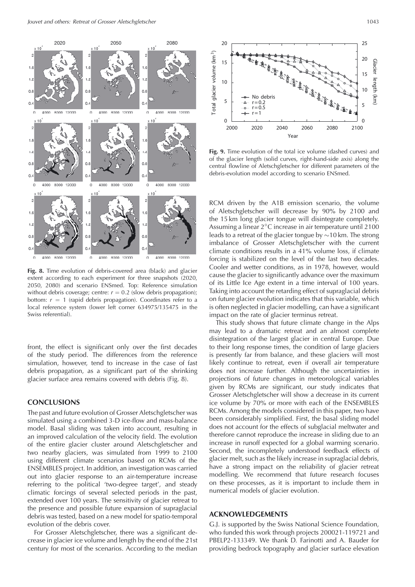

**Fig. 8.** Time evolution of debris-covered area (black) and glacier extent according to each experiment for three snapshots (2020, 2050, 2080) and scenario ENSmed. Top: Reference simulation without debris coverage; centre:  $r = 0.2$  (slow debris propagation); bottom:  $r = 1$  (rapid debris propagation). Coordinates refer to a local reference system (lower left corner 634975/135475 in the Swiss referential).

front, the effect is significant only over the first decades of the study period. The differences from the reference simulation, however, tend to increase in the case of fast debris propagation, as a significant part of the shrinking glacier surface area remains covered with debris (Fig. 8).

### **CONCLUSIONS**

The past and future evolution of Grosser Aletschgletscher was simulated using a combined 3-D ice-flow and mass-balance model. Basal sliding was taken into account, resulting in an improved calculation of the velocity field. The evolution of the entire glacier cluster around Aletschgletscher and two nearby glaciers, was simulated from 1999 to 2100 using different climate scenarios based on RCMs of the ENSEMBLES project. In addition, an investigation was carried out into glacier response to an air-temperature increase referring to the political 'two-degree target', and steady climatic forcings of several selected periods in the past, extended over 100 years. The sensitivity of glacier retreat to the presence and possible future expansion of supraglacial debris was tested, based on a new model for spatio-temporal evolution of the debris cover.

For Grosser Aletschgletscher, there was a significant decrease in glacier ice volume and length by the end of the 21st century for most of the scenarios. According to the median



**Fig. 9.** Time evolution of the total ice volume (dashed curves) and of the glacier length (solid curves, right-hand-side axis) along the central flowline of Aletschgletscher for different parameters of the debris-evolution model according to scenario ENSmed.

RCM driven by the A1B emission scenario, the volume of Aletschgletscher will decrease by 90% by 2100 and the 15 km long glacier tongue will disintegrate completely. Assuming a linear 2◦C increase in air temperature until 2100 leads to a retreat of the glacier tongue by ∼10 km. The strong imbalance of Grosser Aletschgletscher with the current climate conditions results in a 41% volume loss, if climate forcing is stabilized on the level of the last two decades. Cooler and wetter conditions, as in 1978, however, would cause the glacier to significantly advance over the maximum of its Little Ice Age extent in a time interval of 100 years. Taking into account the retarding effect of supraglacial debris on future glacier evolution indicates that this variable, which is often neglected in glacier modelling, can have a significant impact on the rate of glacier terminus retreat.

This study shows that future climate change in the Alps may lead to a dramatic retreat and an almost complete disintegration of the largest glacier in central Europe. Due to their long response times, the condition of large glaciers is presently far from balance, and these glaciers will most likely continue to retreat, even if overall air temperature does not increase further. Although the uncertainties in projections of future changes in meteorological variables given by RCMs are significant, our study indicates that Grosser Aletschgletscher will show a decrease in its current ice volume by 70% or more with each of the ENSEMBLES RCMs. Among the models considered in this paper, two have been considerably simplified. First, the basal sliding model does not account for the effects of subglacial meltwater and therefore cannot reproduce the increase in sliding due to an increase in runoff expected for a global warming scenario. Second, the incompletely understood feedback effects of glacier melt, such as the likely increase in supraglacial debris, have a strong impact on the reliability of glacier retreat modelling. We recommend that future research focuses on these processes, as it is important to include them in numerical models of glacier evolution.

### **ACKNOWLEDGEMENTS**

G.J. is supported by the Swiss National Science Foundation, who funded this work through projects 200021-119721 and PBELP2-133349. We thank D. Farinotti and A. Bauder for providing bedrock topography and glacier surface elevation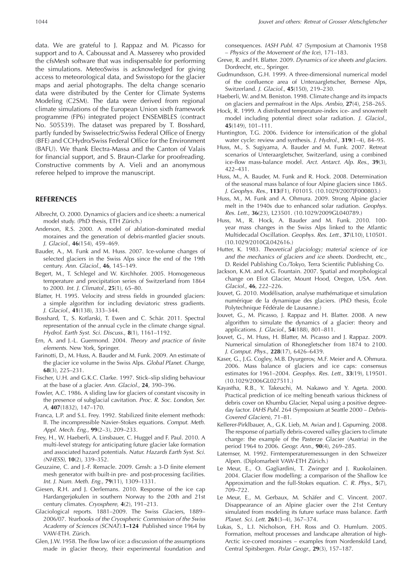data. We are grateful to J. Rappaz and M. Picasso for support and to A. Caboussat and A. Masserey who provided the cfsMesh software that was indispensable for performing the simulations. MeteoSwiss is acknowledged for giving access to meteorological data, and Swisstopo for the glacier maps and aerial photographs. The delta change scenario data were distributed by the Center for Climate Systems Modeling (C2SM). The data were derived from regional climate simulations of the European Union sixth framework programme (FP6) integrated project ENSEMBLES (contract No. 505539). The dataset was prepared by T. Bosshard, partly funded by Swisselectric/Swiss Federal Office of Energy (BFE) and CCHydro/Swiss Federal Office for the Environment (BAFU). We thank Electra-Massa and the Canton of Valais for financial support, and S. Braun-Clarke for proofreading. Constructive comments by A. Vieli and an anonymous referee helped to improve the manuscript.

### **REFERENCES**

- Albrecht, O. 2000. Dynamics of glaciers and ice sheets: a numerical model study. (PhD thesis, ETH Zürich.)
- Anderson, R.S. 2000. A model of ablation-dominated medial moraines and the generation of debris-mantled glacier snouts. J. Glaciol., **46**(154), 459–469.
- Bauder, A., M. Funk and M. Huss. 2007. Ice-volume changes of selected glaciers in the Swiss Alps since the end of the 19th century. Ann. Glaciol., **46**, 145–149.
- Begert, M., T. Schlegel and W. Kirchhofer. 2005. Homogeneous temperature and precipitation series of Switzerland from 1864 to 2000. Int. J. Climatol., **25**(1), 65–80.
- Blatter, H. 1995. Velocity and stress fields in grounded glaciers: a simple algorithm for including deviatoric stress gradients. J. Glaciol., **41**(138), 333–344.
- Bosshard, T., S. Kotlarski, T. Ewen and C. Schär. 2011. Spectral representation of the annual cycle in the climate change signal. Hydrol. Earth Syst. Sci. Discuss., **8**(1), 1161–1192.
- Ern, A. and J.-L. Guermond. 2004. Theory and practice of finite elements. New York, Springer.
- Farinotti, D., M. Huss, A. Bauder and M. Funk. 2009. An estimate of the glacier ice volume in the Swiss Alps. Global Planet. Change, **68**(3), 225–231.
- Fischer, U.H. and G.K.C. Clarke. 1997. Stick–slip sliding behaviour at the base of a glacier. Ann. Glaciol., **24**, 390–396.
- Fowler, A.C. 1986. A sliding law for glaciers of constant viscosity in the presence of subglacial cavitation. Proc. R. Soc. London, Ser. A, **407**(1832), 147–170.
- Franca, L.P. and S.L. Frey. 1992. Stabilized finite element methods: II. The incompressible Navier–Stokes equations. Comput. Meth. Appl. Mech. Eng., **99**(2–3), 209–233.
- Frey, H., W. Haeberli, A. Linsbauer, C. Huggel and F. Paul. 2010. A multi-level strategy for anticipating future glacier lake formation and associated hazard potentials. Natur. Hazards Earth Syst. Sci. (NHESS), **10**(2), 339–352.
- Geuzaine, C. and J.-F. Remacle. 2009. Gmsh: a 3-D finite element mesh generator with built-in pre- and post-processing facilities. Int. J. Num. Meth. Eng., **79**(11), 1309–1331.
- Giesen, R.H. and J. Oerlemans. 2010. Response of the ice cap Hardangerjøkulen in southern Norway to the 20th and 21st century climates. Cryosphere, **4**(2), 191–213.
- Glaciological reports. 1881–2009. The Swiss Glaciers, 1889– 2006/07. Yearbooks of the Cryospheric Commission of the Swiss Academy of Sciences (SCNAT).**1–124** Published since 1964 by VAW-ETH. Zürich.
- Glen, J.W. 1958. The flow law of ice: a discussion of the assumptions made in glacier theory, their experimental foundation and

consequences. IASH Publ. 47 (Symposium at Chamonix 1958 – Physics of the Movement of the Ice), 171–183.

- Greve, R. and H. Blatter. 2009. Dynamics of ice sheets and glaciers. Dordrecht, etc., Springer.
- Gudmundsson, G.H. 1999. A three-dimensional numerical model of the confluence area of Unteraargletscher, Bernese Alps, Switzerland. J. Glaciol., **45**(150), 219–230.
- Haeberli, W. and M. Beniston. 1998. Climate change and its impacts on glaciers and permafrost in the Alps. Ambio, **27**(4), 258–265.
- Hock, R. 1999. A distributed temperature-index ice- and snowmelt model including potential direct solar radiation. J. Glaciol., **45**(149), 101–111.
- Huntington, T.G. 2006. Evidence for intensification of the global water cycle: review and synthesis. J. Hydrol., **319**(1–4), 84–95.
- Huss, M., S. Sugiyama, A. Bauder and M. Funk. 2007. Retreat scenarios of Unteraargletscher, Switzerland, using a combined ice-flow mass-balance model. Arct. Antarct. Alp. Res., **39**(3), 422–431.
- Huss, M., A. Bauder, M. Funk and R. Hock. 2008. Determination of the seasonal mass balance of four Alpine glaciers since 1865. J. Geophys. Res., **113**(F1), F01015. (10.1029/2007JF000803.)
- Huss, M., M. Funk and A. Ohmura. 2009. Strong Alpine glacier melt in the 1940s due to enhanced solar radiation. Geophys. Res. Lett., **36**(23), L23501. (10.1029/2009GL040789.)
- Huss, M., R. Hock, A. Bauder and M. Funk. 2010. 100 year mass changes in the Swiss Alps linked to the Atlantic Multidecadal Oscillation. Geophys. Res. Lett., **37**(L10), L10501. (10.1029/2010GL042616.)
- Hutter, K. 1983. Theoretical glaciology; material science of ice and the mechanics of glaciers and ice sheets. Dordrecht, etc., D. Reidel Publishing Co./Tokyo, Terra Scientific Publishing Co.
- Jackson, K.M. and A.G. Fountain. 2007. Spatial and morphological change on Eliot Glacier, Mount Hood, Oregon, USA. Ann. Glaciol., **46**, 222–226.
- Jouvet, G. 2010. Modélisation, analyse mathématique et simulation numérique de la dynamique des glaciers. (PhD thesis, École Polytechnique Fédérale de Lausanne.)
- Jouvet, G., M. Picasso, J. Rappaz and H. Blatter. 2008. A new algorithm to simulate the dynamics of a glacier: theory and applications. J. Glaciol., **54**(188), 801–811.
- Jouvet, G., M. Huss, H. Blatter, M. Picasso and J. Rappaz. 2009. Numerical simulation of Rhonegletscher from 1874 to 2100. J. Comput. Phys., **228**(17), 6426–6439.
- Kaser, G., J.G. Cogley, M.B. Dyurgerov, M.F. Meier and A. Ohmura. 2006. Mass balance of glaciers and ice caps: consensus estimates for 1961–2004. Geophys. Res. Lett., **33**(19), L19501. (10.1029/2006GL027511.)
- Kayastha, R.B., Y. Takeuchi, M. Nakawo and Y. Ageta. 2000. Practical prediction of ice melting beneath various thickness of debris cover on Khumbu Glacier, Nepal using a positive degreeday factor. IAHS Publ. 264 (Symposium at Seattle 2000 – Debris-Covered Glaciers), 71–81.
- Kellerer-Pirklbauer, A., G.K. Lieb, M. Avian and J. Gspurning. 2008. The response of partially debris-covered valley glaciers to climate change: the example of the Pasterze Glacier (Austria) in the period 1964 to 2006. Geogr. Ann., **90**(4), 269–285.
- Laternser, M. 1992. Firntemperaturemessungen in den Schweizer Alpen. (Diplomarbeit VAW-ETH Zürich.)
- Le Meur, E., O. Gagliardini, T. Zwinger and J. Ruokolainen. 2004. Glacier flow modelling: a comparison of the Shallow Ice Approximation and the full-Stokes equation. C. R. Phys., **5**(7), 709–722.
- Le Meur, E., M. Gerbaux, M. Schäfer and C. Vincent. 2007. Disappearance of an Alpine glacier over the 21st Century simulated from modeling its future surface mass balance. Earth Planet. Sci. Lett. **261**(3–4), 367–374.
- Lukas, S., L.I. Nicholson, F.H. Ross and O. Humlum. 2005. Formation, meltout processes and landscape alteration of high-Arctic ice-cored moraines – examples from Nordenskild Land, Central Spitsbergen. Polar Geogr., **29**(3), 157–187.